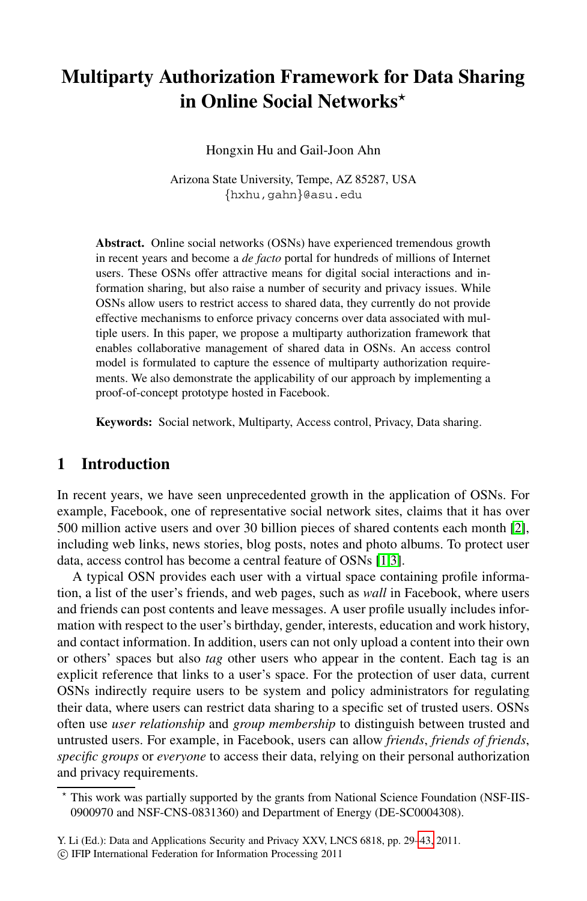# **Multiparty Authorization Framework for Data Sharing in Online Social Networks***-*

Hongxin Hu and Gail-Joon Ahn

Arizona State University, Tempe, AZ 85287, USA {hxhu,gahn}@asu.edu

**Abstract.** Online social networks (OSNs) have experienced tremendous growth in recent years and become a *de facto* portal for hundreds of millions of Internet users. These OSNs offer attractive means for digital social interactions and information sharing, but also raise a number of security and privacy issues. While OSNs allow users to restrict access to shared data, they currently do not provide effective mechanisms to enforce privacy concerns over data associated with multiple users. In this paper, we propose a multiparty authorization framework that enables collaborative management of shared data in OSNs. An access control model is formulated to capture the essence of multiparty authorization requirements. We also demonstrate the applicability of our approach by implementing a proof-of-concept prototype hosted in Facebook.

**Keywords:** Social network, Multi[pa](#page-13-0)[rty](#page-13-1), Access control, Privacy, Data sharing.

# **1 Introduction**

In recent years, we have seen unprecedented growth in the application of OSNs. For example, Facebook, one of representative social network sites, claims that it has over 500 million active users and over 30 billion pieces of shared contents each month [2], including web links, news stories, blog posts, notes and photo albums. To protect user data, access control has become a central feature of OSNs [1,3].

A typical OSN provides each user with a virtual space containing profile information, a list of the user's friends, and web pages, such as *wall* in Facebook, where users and friends can post contents and leave messages. A user profile usually includes information with respect to the user's birthday, gender, interests, education and work history, and contact information. In addition, users can not only upload a content into their own or others' spaces but also *tag* other users who appear in the content. Each tag is an explicit reference that links to a user's space. For the protection of user data, current OSNs indirectly require users to be system and policy administrators for regulating their data, where users can restrict data shari[ng t](#page-14-0)o a specific set of trusted users. OSNs often use *user relationship* and *group membership* to distinguish between trusted and untrusted users. For example, in Facebook, users can allow *friends*, *friends of friends*, *specific groups* or *everyone* to access their data, relying on their personal authorization and privacy requirements.

<sup>-</sup> This work was partially supported by the grants from National Science Foundation (NSF-IIS-0900970 and NSF-CNS-0831360) and Department of Energy (DE-SC0004308).

Y. Li (Ed.): Data and Applications Security and Privacy XXV, LNCS 6818, pp. 29–43, 2011.

<sup>-</sup>c IFIP International Federation for Information Processing 2011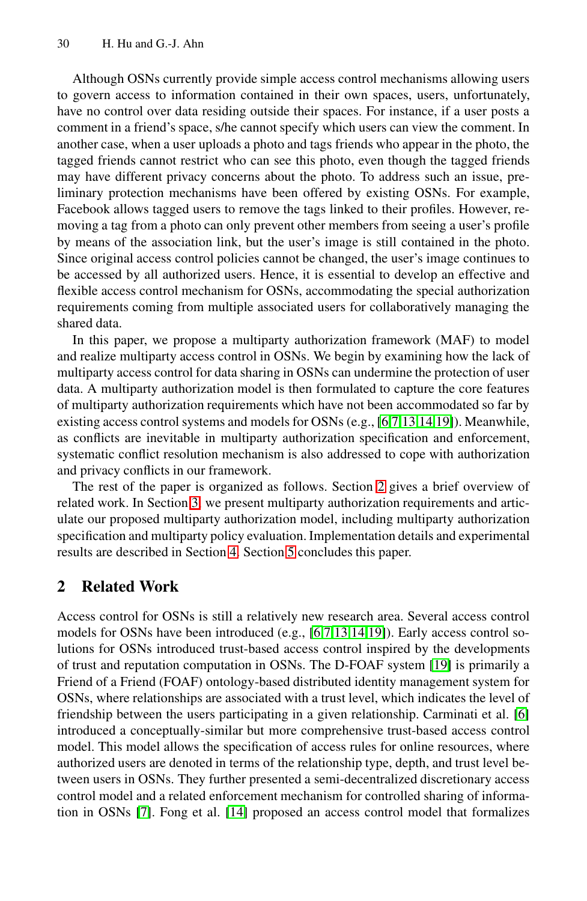Although OSNs currently provide simple access control mechanisms allowing users to govern access to information contained in their own spaces, users, unfortunately, have no control over data residing outside their spaces. For instance, if a user posts a comment in a friend's space, s/he cannot specify which users can view the comment. In another case, when a user uploads a photo and tags friends who appear in the photo, the tagged friends cannot restrict who can see this photo, even though the tagged friends may have different privacy concerns about the photo. To address such an issue, preliminary protection mechanisms have been offered by existing OSNs. For example, Facebook allows tagged users to remove the tags linked to their profiles. However, removing a tag from a photo can only prevent other members from seeing a user's profile by means of the association link, but the user's image is still contained in the photo. Since original access control policies cannot be changed, the user's image continues to be accessed by all authorized users. Hence, it is essential to develop an effective and flexible access control mechanism for [O](#page-13-2)[S](#page-13-3)[Ns,](#page-14-1) [acc](#page-14-2)[om](#page-14-3)modating the special authorization requirements coming from multiple associated users for collaboratively managing the shared data.

In this paper, we propose a multiparty authorization framework (MAF) to model and realize multiparty access control i[n](#page-1-0) OSNs. We begin by examining how the lack of mu[ltip](#page-2-0)arty access control for data sharing in OSNs can undermine the protection of user data. A multiparty authorization model is then formulated to capture the core features of multiparty authorization requirements which have not been accommodated so far by existing ac[ce](#page-10-0)ss contr[ol s](#page-13-4)ystems and models for OSNs (e.g., [6,7,13,14,19]). Meanwhile, as conflicts are inevitable in multiparty authorization specification and enforcement, systematic conflict resolution mechanism is also addressed to cope with authorization and privacy conflicts in our framework.

<span id="page-1-0"></span>The rest of the paper is organized as follows. Section 2 gives a brief overview of related work. In Section 3[,](#page-13-2) [we](#page-13-3) [pr](#page-14-1)[ese](#page-14-2)[nt m](#page-14-3)ultiparty authorization requirements and articulate our proposed multiparty authorization model, including multiparty authorization specification and multiparty policy evaluation. I[mple](#page-14-3)mentation details and experimental results are described in Section 4. Section 5 concludes this paper.

## **2 Related Work**

Access control for OSNs is still a relatively new research area. Several access control models for OSNs have been introduced (e.g., [6,7,13,14,19]). Early access control solutions for OSNs introduced trust-based access control inspired by the developments of trust and reputation computation in OSNs. The D-FOAF system [19] is primarily a Friend of [a Fr](#page-14-2)iend (FOAF) ontology-based distributed identity management system for OSNs, where relationships are associated with a trust level, which indicates the level of friendship between the users participating in a given relationship. Carminati et al. [6] introduced a conceptually-similar but more comprehensive trust-based access control model. This model allows the specification of access rules for online resources, where authorized users are denoted in terms of the relationship type, depth, and trust level between users in OSNs. They further presented a semi-decentralized discretionary access control model and a related enforcement mechanism for controlled sharing of information in OSNs [7]. Fong et al. [14] proposed an access control model that formalizes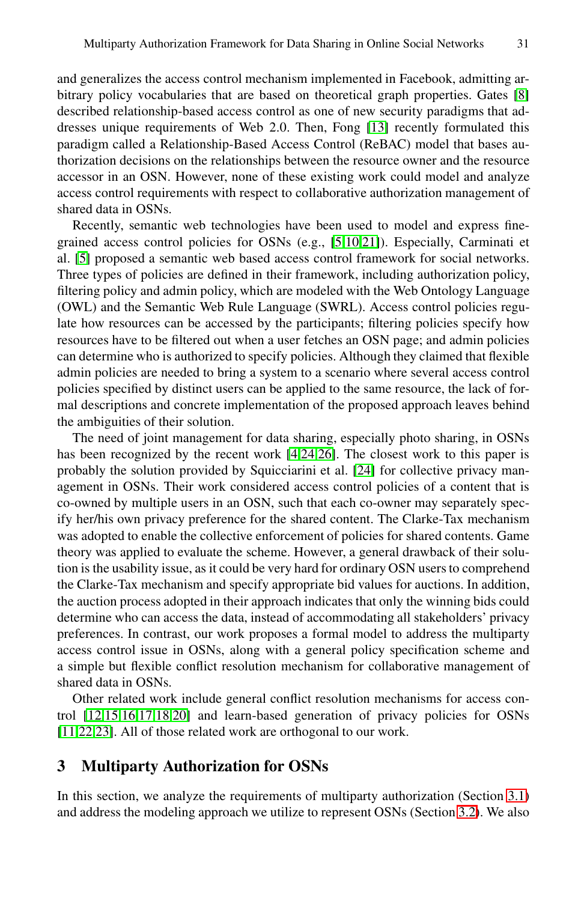and generalizes the access control mechanism implemented in Facebook, admitting arbitrary policy vocabularies that are based on theoretical graph properties. Gates [8] described relationship-based [ac](#page-13-5)[ces](#page-13-6)[s co](#page-14-4)ntrol as one of new security paradigms that addresses unique requirements of Web 2.0. Then, Fong [13] recently formulated this paradigm called a Relationship-Based Access Control (ReBAC) model that bases authorization decisions on the relationships between the resource owner and the resource accessor in an OSN. However, none of these existing work could model and analyze access control requirements with respect to collaborative authorization management of shared data in OSNs.

Recently, semantic web technologies have been used to model and express finegrained access control policies for OSNs (e.g., [5,10,21]). Especially, Carminati et al. [5] proposed a semantic web based access control framework for social networks. Three types of policies are defined in their framework, including authorization policy, filtering policy and admin policy, which are modeled with the Web Ontology Language (OWL) and the Semantic Web Rule Language (SWRL). Access control policies regulate how resources ca[n](#page-13-7) [be](#page-14-5) [acc](#page-14-6)essed by the participants; filtering policies specify how resources have to be filtered out [when](#page-14-5) a user fetches an OSN page; and admin policies can determine who is authorized to specify policies. Although they claimed that flexible admin policies are needed to bring a system to a scenario where several access control policies specified by distinct users can be applied to the same resource, the lack of formal descriptions and concrete implementation of the proposed approach leaves behind the ambiguities of their solution.

The need of joint management for data sharing, especially photo sharing, in OSNs has been recognized by the recent work [4,24,26]. The closest work to this paper is probably the solution provided by Squicciarini et al. [24] for collective privacy management in OSNs. Their work considered access control policies of a content that is co-owned by multiple users in an OSN, such that each co-owner may separately specify her/his own privacy preference for the shared content. The Clarke-Tax mechanism was adopted to enable the collective enforcement of policies for shared contents. Game theory was applied to evaluate the scheme. However, a general drawback of their solution is the usability issue, as it could be very hard for ordinary OSN users to comprehend [the](#page-14-8) Clarke-Tax mechanism and specify appropriate bid values for auctions. In addition, the auction process adopted in their approach indicates that only the winning bids could determine who can access the data, instead of accommodating all stakeholders' privacy preferences. In contrast, our work proposes a formal model to address the multiparty access control issue in OSNs, along with a general policy specification scheme and a simple but flexible conflict resolution mechanism for coll[abor](#page-3-0)ative management of shared data in OSNs.

<span id="page-2-0"></span>Other related work include general conflict resolution mechanisms for access control [12,15,16,17,18,20] and learn-based generation of privacy policies for OSNs [11,22,23]. All of those related work are orthogonal to our work.

### **3 Multiparty Authorization for OSNs**

In this section, we analyze the requirements of multiparty authorization (Section 3.1) and address the modeling approach we utilize to represent OSNs (Section 3.2). We also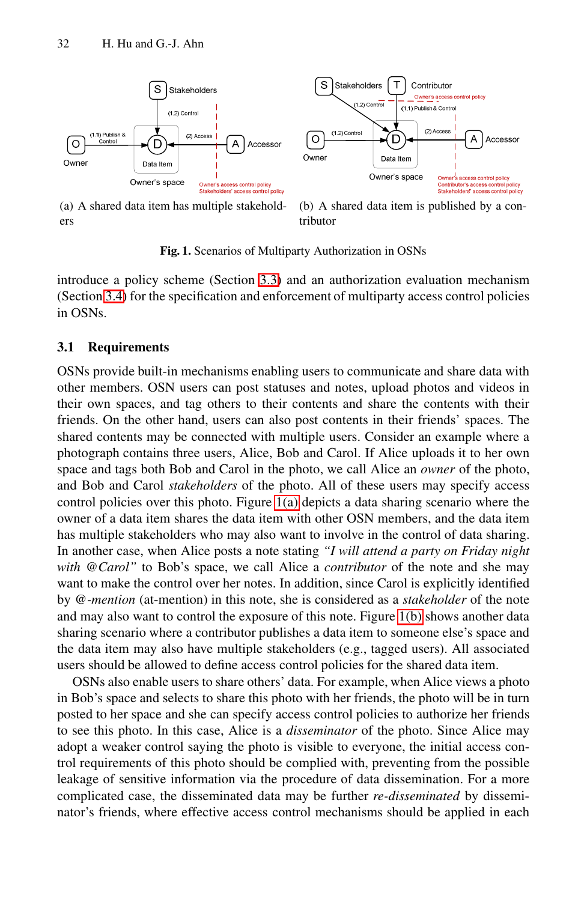<span id="page-3-2"></span><span id="page-3-1"></span>

<span id="page-3-0"></span>(a) A shared data item has multiple stakeholders

(b) A shared data item is published by a contributor

**Fig. 1.** Scenarios of Multiparty Authorization in OSNs

introduce a policy scheme (Section 3.3) and an authorization evaluation mechanism (Section 3.4) for the specification and enforcement of multiparty access control policies in OSNs.

### **3.1 Requirements**

OSNs provide buil[t-in m](#page-3-1)echanisms enabling users to communicate and share data with other members. OSN users can post statuses and notes, upload photos and videos in their own spaces, and tag others to their contents and share the contents with their friends. On the other hand, users can also post contents in their friends' spaces. The shared contents may be connected with multiple users. Consider an example where a photograph contains three users, Alice, Bob and Carol. If Alice uploads it to her own space and tags both Bob and Carol in the photo, we call Alice an *owner* of the photo, and Bob and Carol *stakeholders* of the [photo.](#page-3-2) All of these users may specify access control policies over this photo. Figure 1(a) depicts a data sharing scenario where the owner of a data item shares the data item with other OSN members, and the data item has multiple stakeholders who may also want to involve in the control of data sharing. In another case, when Alice posts a note stating *"I will attend a party on Friday night with @Carol"* to Bob's space, we call Alice a *contributor* of the note and she may want to make the control over her notes. In addition, since Carol is explicitly identified by *@-mention* (at-mention) in this note, she is considered as a *stakeholder* of the note and may also want to control the exposure of this note. Figure 1(b) shows another data sharing scenario where a contributor publishes a data item to someone else's space and the data item may also have multiple stakeholders (e.g., tagged users). All associated users should be allowed to define access control policies for the shared data item.

OSNs also enable users to share others' data. For example, when Alice views a photo in Bob's space and selects to share this photo with her friends, the photo will be in turn posted to her space and she can specify access control policies to authorize her friends to see this photo. In this case, Alice is a *disseminator* of the photo. Since Alice may adopt a weaker control saying the photo is visible to everyone, the initial access control requirements of this photo should be complied with, preventing from the possible leakage of sensitive information via the procedure of data dissemination. For a more complicated case, the disseminated data may be further *re-disseminated* by disseminator's friends, where effective access control mechanisms should be applied in each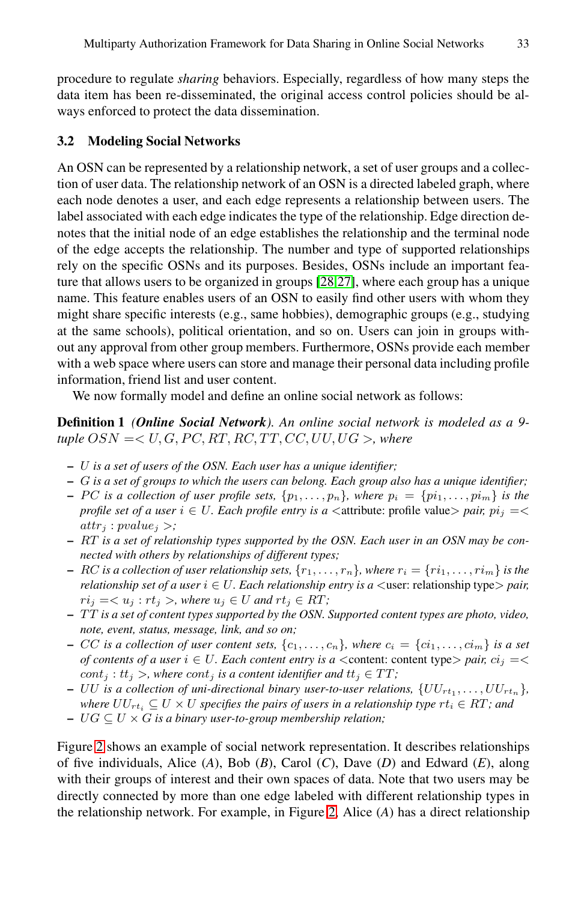<span id="page-4-0"></span>procedure to regulate *sharing* behaviors. Especially, regardless of how many steps the data item has been re-disseminated, the original access control policies should be always enforced to protect the data dissemination.

### **3.2 Modeling Social Networks**

An OSN can be represente[d](#page-14-9) [by](#page-14-9) [a](#page-14-10) [r](#page-14-10)elationship network, a set of user groups and a collection of user data. The relationship network of an OSN is a directed labeled graph, where each node denotes a user, and each edge represents a relationship between users. The label associated with each edge indicates the type of the relationship. Edge direction denotes that the initial node of an edge establishes the relationship and the terminal node of the edge accepts the relationship. The number and type of supported relationships rely on the specific OSNs and its purposes. Besides, OSNs include an important feature that allows users to be organized in groups [28,27], where each group has a unique name. This feature enables users of an OSN to easily find other users with whom they might share specific interests (e.g., same hobbies), demographic groups (e.g., studying at the same schools), political orientation, and so on. Users can join in groups without any approval from other group members. Furthermore, OSNs provide each member with a web space where users can store and manage their personal data including profile information, friend list and user content.

We now formally model and define an online social network as follows:

**Definition 1** *(Online Social Network). An online social network is modeled as a 9*  $tuple$   $OSN = < U, G, PC, RT, RC, TT, CC, UU, UG >$ *, where* 

- **–** *U is a set of users of the OSN. Each user has a unique identifier;*
- **–** *G is a set of groups to which the users can belong. Each group also has a unique identifier;*
- **–** *PC* is a collection of user profile sets,  $\{p_1, \ldots, p_n\}$ , where  $p_i = \{pi_1, \ldots, p_{i_m}\}$  is the *profile set of a user*  $i \in U$ *. Each profile entry is a <attribute: profile value> pair, pi<sub>i</sub> =<*  $attr_i : \textit{pvalue}_i >$
- **–** *RT is a set of relationship types supported by the OSN. Each user in an OSN may be connected with others by relationships of different types;*
- $P = RC$  *is a collection of user relationship sets,*  $\{r_1, \ldots, r_n\}$ *, where*  $r_i = \{ri_1, \ldots, ri_m\}$  *is the relationship set of a user*  $i \in U$ *. Each relationship entry is a <user: relationship type> pair,*  $ri_j = \langle u_j : rt_j \rangle$ , where  $u_j \in U$  and  $rt_j \in RT$ ;
- **–** *T T is a set of content types supported by the OSN. Supported content types are photo, video, note, event, status, message, link, and so on;*
- **–** *CC* is a collection of user content sets,  $\{c_1, \ldots, c_n\}$ , where  $c_i = \{ci_1, \ldots, ci_m\}$  is a set *of contents of a user*  $i \in U$ *. Each content entry is a < content: content type> pair,*  $ci_j =$ *cont*<sub>i</sub> : *tt*<sub>i</sub> >, where *cont*<sub>i</sub> *is a content identifier and tt*<sub>i</sub>  $\in TT$ ;
- $\sim$  *UU* is a collection of uni-[dir](#page-5-0)ectional binary user-to-user relations,  $\{UU_{rt_1}, \ldots, UU_{rt_n}\},$ *where*  $UU_{rt_i} \subseteq U \times U$  *specifies the pairs of users in a relationship type*  $rt_i \in RT$ *; and*
- **–** *UG* ⊆ *U* × *G is a binary user-to-group membership relation;*

Figure 2 shows an example of social network representation. It describes relationships of five individuals, Alice (*A*), Bob (*B*), Carol (*C*), Dave (*D*) and Edward (*E*), along with their groups of interest and their own spaces of data. Note that two users may be directly connected by more than one edge labeled with different relationship types in the relationship network. For example, in Figure 2, Alice (*A*) has a direct relationship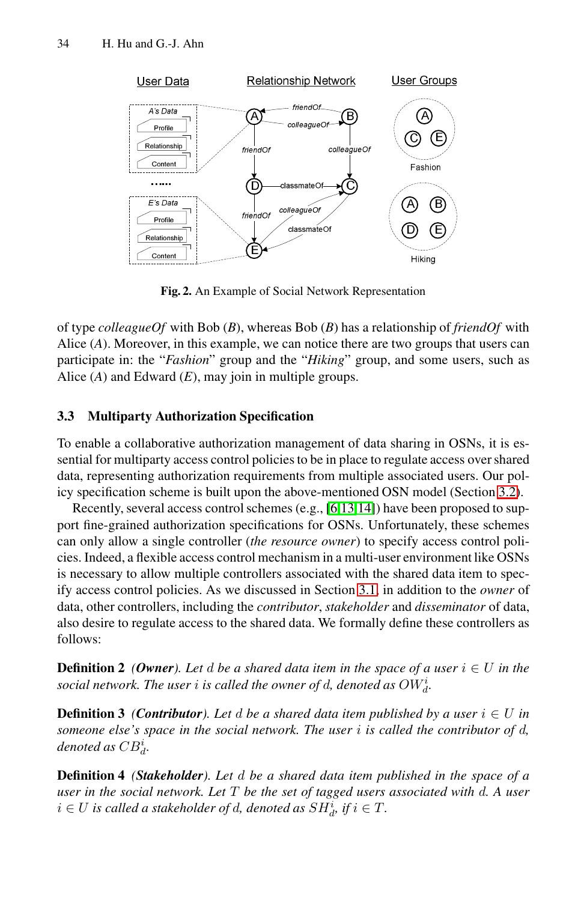<span id="page-5-0"></span>

**Fig. 2.** An Example of Social Network Representation

of type *colleagueOf* with Bob (*B*), whereas Bob (*B*) has a relationship of *friendOf* with Alice (*A*). Moreover, in this example, we can notice there are two groups that users can participate in: the "*Fashion*" group and the "*Hiking*" grou[p, an](#page-4-0)d some users, such as Alice (*A*) and Edward (*E*), m[ay](#page-13-2) [jo](#page-14-1)[in in](#page-14-2) multiple groups.

#### **3.3 Multiparty Authorization Specification**

To enable a collaborative authorization management of data sharing in OSNs, it is essential for multiparty access contr[ol po](#page-3-0)licies to be in place to regulate access over shared data, representing authorization requirements from multiple associated users. Our policy specification scheme is built upon the above-mentioned OSN model (Section 3.2).

Recently, several access control schemes (e.g., [6,13,14]) have been proposed to support fine-grained authorization specifications for OSNs. Unfortunately, these schemes can only allow a single controller (*the resource owner*) to specify access control policies. Indeed, a flexible access control mechanism in a multi-user environment like OSNs is necessary to allow multiple controllers associated with the shared data item to specify access control policies. As we discussed in Section 3.1, in addition to the *owner* of data, other controllers, including the *contributor*, *stakeholder* and *disseminator* of data, also desire to regulate access to the shared data. We formally define these controllers as follows:

**Definition 2** *(Owner). Let d be a shared data item in the space of a user*  $i \in U$  *in the* social network. The user  $i$  is called the owner of  $d$ , denoted as  $OW^i_d$ .

**Definition 3** *(Contributor). Let d be a shared data item published by a user*  $i \in U$  *in someone else's space in the social network. The user i is called the contributor of d, denoted as*  $CB_d^i$ *.* 

**Definition 4** *(Stakeholder). Let d be a shared data item published in the space of a user in the social network. Let T be the set of tagged users associated with d. A user*  $i \in U$  *is called a stakeholder of*  $d$ *, denoted as*  $SH_d^i$ *, if*  $i \in T$ *.*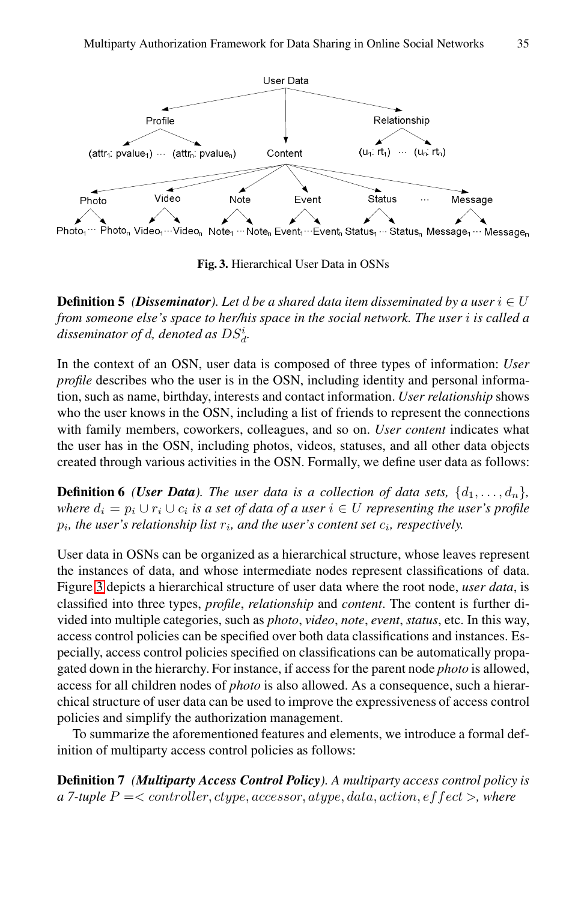

**Fig. 3.** Hierarchical User Data in OSNs

**Definition 5** *(Disseminator). Let d be a shared data item disseminated by a user*  $i \in U$ *from someone else's space to her/his space in the social network. The user i is called a disseminator of d, denoted as DS<sup>i</sup> d.*

In the context of an OSN, user data is composed of three types of information: *User profile* describes who the user is in the OSN, including identity and personal information, such as name, birthday, interests and contact information. *User relationship* shows who the user knows in the OSN, including a list of friends to represent the connections with family members, coworkers, colleagues, and so on. *User content* indicates what the user has in the OSN, including photos, videos, statuses, and all other data objects created through various activities in the OSN. Formally, we define user data as follows:

**Definition 6** *(User Data). The user data is a collection of data sets,*  $\{d_1, \ldots, d_n\}$ *where*  $d_i = p_i \cup r_i \cup c_i$  *is a set of data of a user*  $i \in U$  *representing the user's profile*  $p_i$ *, the user's relationship list*  $r_i$ *, and the user's content set*  $c_i$ *, respectively.* 

User data in OSNs can be organized as a hierarchical structure, whose leaves represent the instances of data, and whose intermediate nodes represent classifications of data. Figure 3 depicts a hierarchical structure of user data where the root node, *user data*, is classified into three types, *profile*, *relationship* and *content*. The content is further divided into multiple categories, such as *photo*, *video*, *note*, *event*, *status*, etc. In this way, access control policies can be specified over both data classifications and instances. Especially, access control policies specified on classifications can be automatically propagated down in the hierarchy. For instance, if access for the parent node *photo* is allowed, access for all children nodes of *photo* is also allowed. As a consequence, such a hierarchical structure of user data can be used to improve the expressiveness of access control policies and simplify the authorization management.

To summarize the aforementioned features and elements, we introduce a formal definition of multiparty access control policies as follows:

**Definition 7** *(Multiparty Access Control Policy). A multiparty access control policy is a 7-tuple P* =*< controller, ctype, accessor, atype, data, action, effect >, where*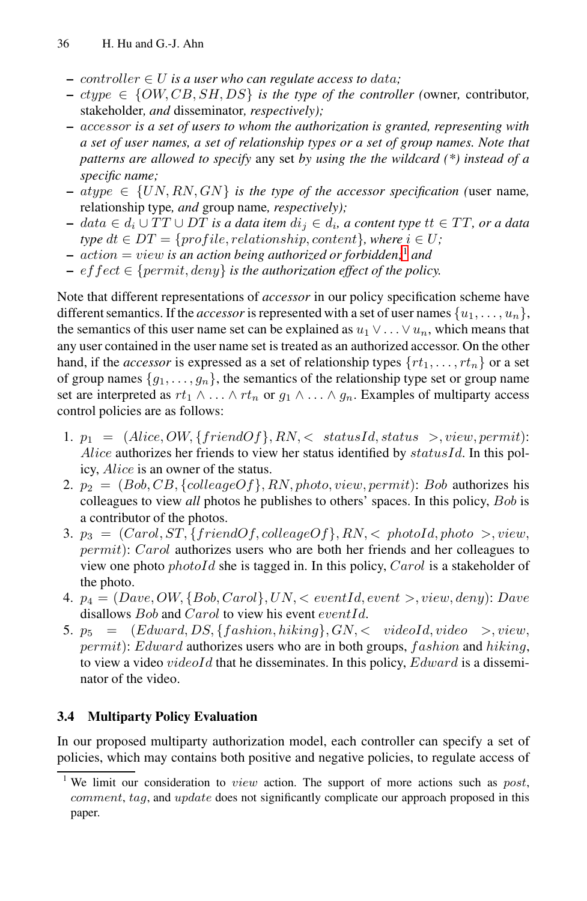- $\bullet$  *controller*  $\in$  *U is a user who can regulate access to data*;
- **–** *ctype* ∈ {*OW, CB, SH, DS*} *is the type of the controller (*owner*,* contributor*,* stakeholder*, and* disseminator*, respectively);*
- **–** *accessor is a set of users to whom th[e a](#page-7-0)uthorization is granted, representing with a set of user names, a set of relationship types or a set of group names. Note that patterns are allowed to specify* any set *by using the the wildcard (\*) instead of a specific name;*
- **–** *atype* ∈ {*UN, RN, GN*} *is the type of the accessor specification (*user name*,* relationship type*, and* group name*, respectively);*
- $\blacktriangle$  *– data* ∈ *d<sub>i</sub>* ∪ *TT* ∪ *DT is a data item di*<sub>j</sub> ∈ *d<sub>i</sub>*, *a content type tt* ∈ *TT*, *or a data type*  $dt \in DT = \{profile, relationship, content\}, where i \in U;$
- **–** *action* = *view is an action being authorized or forbidden;*<sup>1</sup> *and*
- **–** *effect* ∈ {*permit, deny*} *is the authorization effect of the policy.*

Note that different representations of *accessor* in our policy specification scheme have different semantics. If the *accessor* is represented with a set of user names  $\{u_1, \ldots, u_n\}$ , the semantics of this user name set can be explained as  $u_1 \vee \ldots \vee u_n$ , which means that any user contained in the user name set is treated as an authorized accessor. On the other hand, if the *accessor* is expressed as a set of relationship types  $\{rt_1, \ldots, rt_n\}$  or a set of group names  $\{g_1, \ldots, g_n\}$ , the semantics of the relationship type set or group name set are interpreted as  $rt_1 \wedge \ldots \wedge rt_n$  or  $g_1 \wedge \ldots \wedge g_n$ . Examples of multiparty access control policies are as follows:

- 1.  $p_1 = (Alice, OW, {friendOf}, RN, & statusId, status >, view, permit).$ *Alice* authorizes her friends to view her status identified by *statusId*. In this policy, *Alice* is an owner of the status.
- 2. *p*<sup>2</sup> = (*Bob, CB,* {*colleageOf*}*, RN, photo, view, permit*): *Bob* authorizes his colleagues to view *all* photos he publishes to others' spaces. In this policy, *Bob* is a contributor of the photos.
- 3. *p*<sup>3</sup> = (*Carol, ST,* {*friendOf, colleageOf*}*, RN, < photoId, photo >, view, permit*): *Carol* authorizes users who are both her friends and her colleagues to view one photo *photoId* she is tagged in. In this policy, *Carol* is a stakeholder of the photo.
- 4. *p*<sup>4</sup> = (*Dave, OW,* {*Bob, Carol*}*, UN, < eventId, event >, view, deny*): *Dave* disallows *Bob* and *Carol* to view his event *eventId*.
- 5.  $p_5 = (Edward, DS, \{fashion, hiking\}, GN, \langle videoId, video \rangle, view,$ *permit*): *Edward* authorizes users who are in both groups, *f ashion* and *hiking*, to view a video *videoId* that he disseminates. In this policy, *Edward* is a disseminator of the video.

### <span id="page-7-0"></span>**3.4 Multiparty Policy Evaluation**

In our proposed multiparty authorization model, each controller can specify a set of policies, which may contains both positive and negative policies, to regulate access of

<sup>1</sup> We limit our consideration to *view* action. The support of more actions such as *post*, *comment*, *tag*, and *update* does not significantly complicate our approach proposed in this paper.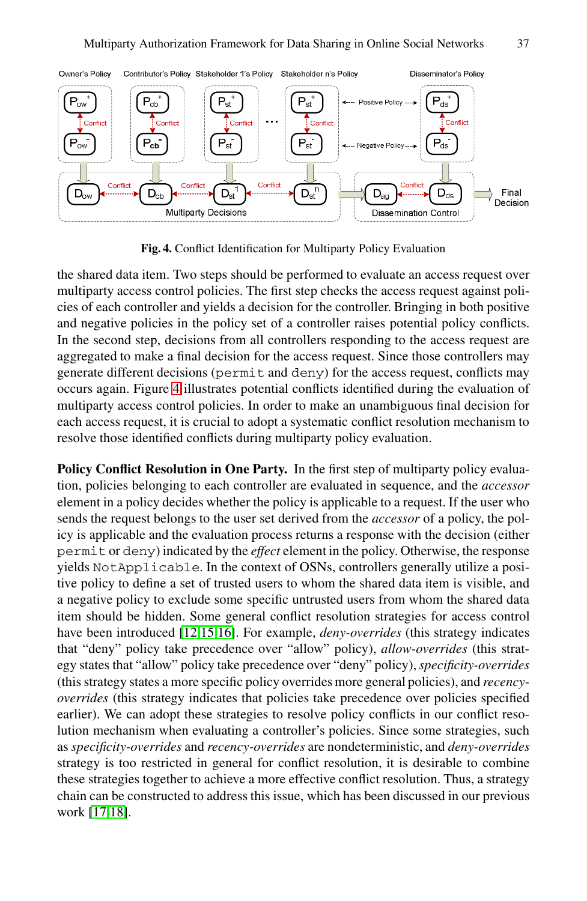<span id="page-8-0"></span>

**Fig. 4.** Conflict Identification for Multiparty Policy Evaluation

[the](#page-8-0) shared data item. Two steps should be performed to evaluate an access request over multiparty access control policies. The first step checks the access request against policies of each controller and yields a decision for the controller. Bringing in both positive and negative policies in the policy set of a controller raises potential policy conflicts. In the second step, decisions from all controllers responding to the access request are aggregated to make a final decision for the access request. Since those controllers may generate different decisions (permit and deny) for the access request, conflicts may occurs again. Figure 4 illustrates potential conflicts identified during the evaluation of multiparty access control policies. In order to make an unambiguous final decision for each access request, it is crucial to adopt a systematic conflict resolution mechanism to resolve those identified conflicts during multiparty policy evaluation.

**Policy Conflict Resolution in One Party.** In the first step of multiparty policy evaluation, policies belonging to each controller are evaluated in sequence, and the *accessor* el[em](#page-14-11)[ent](#page-14-12) [in a](#page-14-13) policy decides whether the policy is applicable to a request. If the user who sends the request belongs to the user set derived from the *accessor* of a policy, the policy is applicable and the evaluation process returns a response with the decision (either permit or deny) indicated by the *effect* element in the policy. Otherwise, the response yields NotApplicable. In the context of OSNs, controllers generally utilize a positive policy to define a set of trusted users to whom the shared data item is visible, and a negative policy to exclude some specific untrusted users from whom the shared data item should be hidden. Some general conflict resolution strategies for access control have been introduced [12,15,16]. For example, *deny-overrides* (this strategy indicates that "deny" policy take precedence over "allow" policy), *allow-overrides* (this strategy states that "allow" policy take precedence over "deny" policy),*specificity-overrides* (this strategy states a more specific policy overrides more general policies), and *recencyoverrides* (this strategy indicates that policies take precedence over policies specified earlier). We can adopt these strategies to resolve policy conflicts in our conflict resolution mechanism when evaluating a controller's policies. Since some strategies, such as *specificity-overrides* and *recency-overrides* are nondeterministic, and *deny-overrides* strategy is too restricted in general for conflict resolution, it is desirable to combine these strategies together to achieve a more effective conflict resolution. Thus, a strategy chain can be constructed to address this issue, which has been discussed in our previous work [17,18].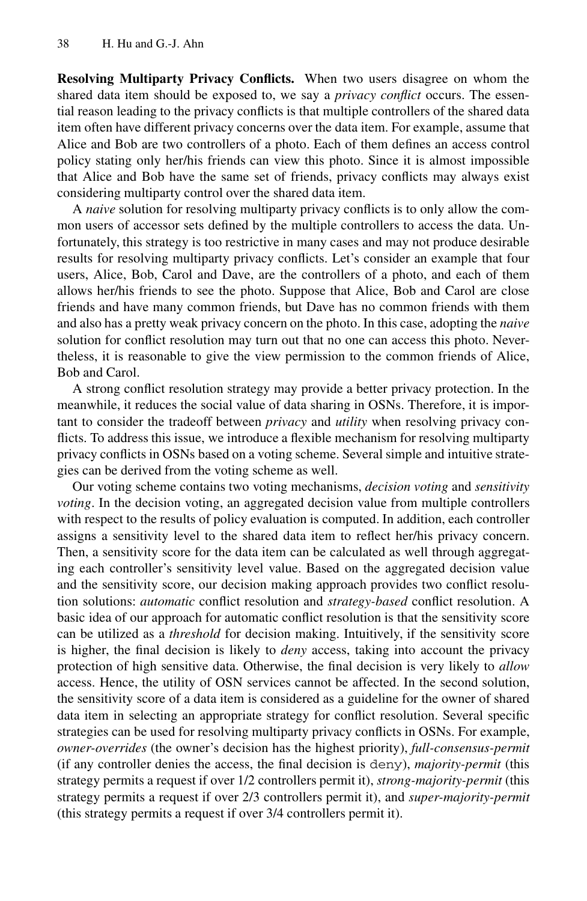**Resolving Multiparty Privacy Conflicts.** When two users disagree on whom the shared data item should be exposed to, we say a *privacy conflict* occurs. The essential reason leading to the privacy conflicts is that multiple controllers of the shared data item often have different privacy concerns over the data item. For example, assume that Alice and Bob are two controllers of a photo. Each of them defines an access control policy stating only her/his friends can view this photo. Since it is almost impossible that Alice and Bob have the same set of friends, privacy conflicts may always exist considering multiparty control over the shared data item.

A *naive* solution for resolving multiparty privacy conflicts is to only allow the common users of accessor sets defined by the multiple controllers to access the data. Unfortunately, this strategy is too restrictive in many cases and may not produce desirable results for resolving multiparty privacy conflicts. Let's consider an example that four users, Alice, Bob, Carol and Dave, are the controllers of a photo, and each of them allows her/his friends to see the photo. Suppose that Alice, Bob and Carol are close friends and have many common friends, but Dave has no common friends with them and also has a pretty weak privacy concern on the photo. In this case, adopting the *naive* solution for conflict resolution may turn out that no one can access this photo. Nevertheless, it is reasonable to give the view permission to the common friends of Alice, Bob and Carol.

A strong conflict resolution strategy may provide a better privacy protection. In the meanwhile, it reduces the social value of data sharing in OSNs. Therefore, it is important to consider the tradeoff between *privacy* and *utility* when resolving privacy conflicts. To address this issue, we introduce a flexible mechanism for resolving multiparty privacy conflicts in OSNs based on a voting scheme. Several simple and intuitive strategies can be derived from the voting scheme as well.

Our voting scheme contains two voting mechanisms, *decision voting* and *sensitivity voting*. In the decision voting, an aggregated decision value from multiple controllers with respect to the results of policy evaluation is computed. In addition, each controller assigns a sensitivity level to the shared data item to reflect her/his privacy concern. Then, a sensitivity score for the data item can be calculated as well through aggregating each controller's sensitivity level value. Based on the aggregated decision value and the sensitivity score, our decision making approach provides two conflict resolution solutions: *automatic* conflict resolution and *strategy-based* conflict resolution. A basic idea of our approach for automatic conflict resolution is that the sensitivity score can be utilized as a *threshold* for decision making. Intuitively, if the sensitivity score is higher, the final decision is likely to *deny* access, taking into account the privacy protection of high sensitive data. Otherwise, the final decision is very likely to *allow* access. Hence, the utility of OSN services cannot be affected. In the second solution, the sensitivity score of a data item is considered as a guideline for the owner of shared data item in selecting an appropriate strategy for conflict resolution. Several specific strategies can be used for resolving multiparty privacy conflicts in OSNs. For example, *owner-overrides* (the owner's decision has the highest priority), *full-consensus-permit* (if any controller denies the access, the final decision is deny), *majority-permit* (this strategy permits a request if over 1/2 controllers permit it), *strong-majority-permit* (this strategy permits a request if over 2/3 controllers permit it), and *super-majority-permit* (this strategy permits a request if over 3/4 controllers permit it).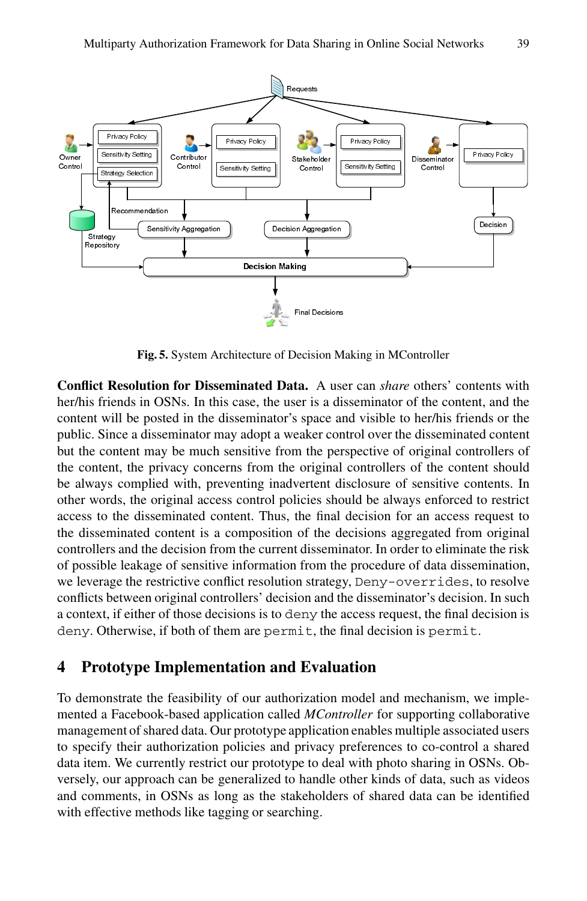

**Fig. 5.** System Architecture of Decision Making in MController

**Conflict Resolution for Disseminated Data.** A user can *share* others' contents with her/his friends in OSNs. In this case, the user is a disseminator of the content, and the content will be posted in the disseminator's space and visible to her/his friends or the public. Since a disseminator may adopt a weaker control over the disseminated content but the content may be much sensitive from the perspective of original controllers of the content, the privacy concerns from the original controllers of the content should be always complied with, preventing inadvertent disclosure of sensitive contents. In other words, the original access control policies should be always enforced to restrict access to the disseminated content. Thus, the final decision for an access request to the disseminated content is a composition of the decisions aggregated from original controllers and the decision from the current disseminator. In order to eliminate the risk of possible leakage of sensitive information from the procedure of data dissemination, we leverage the restrictive conflict resolution strategy, Deny-overrides, to resolve conflicts between original controllers' decision and the disseminator's decision. In such a context, if either of those decisions is to deny the access request, the final decision is deny. Otherwise, if both of them are permit, the final decision is permit.

## <span id="page-10-0"></span>**4 Prototype Implementation and Evaluation**

To demonstrate the feasibility of our authorization model and mechanism, we implemented a Facebook-based application called *MController* for supporting collaborative management of shared data. Our prototype application enables multiple associated users to specify their authorization policies and privacy preferences to co-control a shared data item. We currently restrict our prototype to deal with photo sharing in OSNs. Obversely, our approach can be generalized to handle other kinds of data, such as videos and comments, in OSNs as long as the stakeholders of shared data can be identified with effective methods like tagging or searching.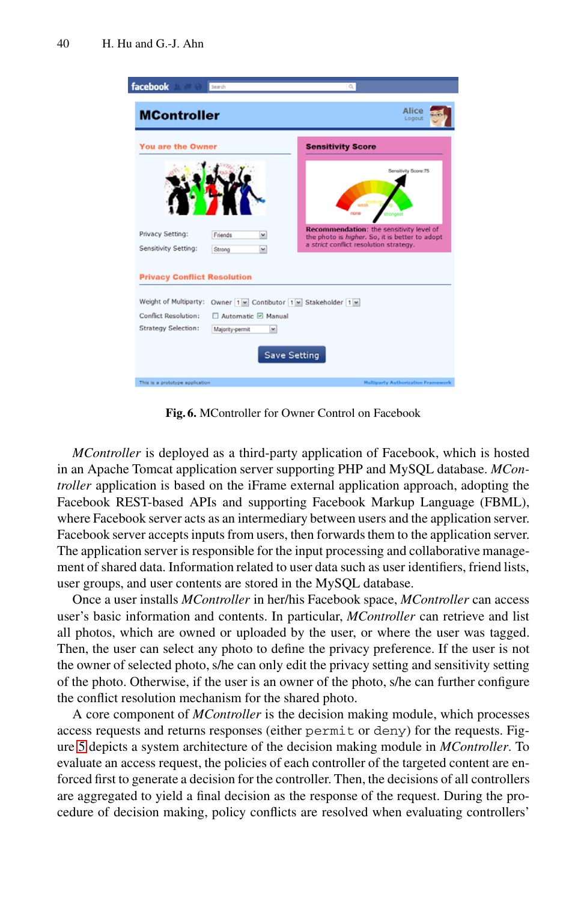

**Fig. 6.** MController for Owner Control on Facebook

<span id="page-11-0"></span>*MController* is deployed as a third-party application of Facebook, which is hosted in an Apache Tomcat application server supporting PHP and MySQL database. *MController* application is based on the iFrame external application approach, adopting the Facebook REST-based APIs and supporting Facebook Markup Language (FBML), where Facebook server acts as an intermediary between users and the application server. Facebook server accepts inputs from users, then forwards them to the application server. The application server is responsible for the input processing and collaborative management of shared data. Information related to user data such as user identifiers, friend lists, user groups, and user contents are stored in the MySQL database.

Once a user installs *MController* in her/his Facebook space, *MController* can access user's basic information and contents. In particular, *MController* can retrieve and list all photos, which are owned or uploaded by the user, or where the user was tagged. Then, the user can select any photo to define the privacy preference. If the user is not the owner of selected photo, s/he can only edit the privacy setting and sensitivity setting of the photo. Otherwise, if the user is an owner of the photo, s/he can further configure the conflict resolution mechanism for the shared photo.

A core component of *MController* is the decision making module, which processes access requests and returns responses (either permit or deny) for the requests. Figure 5 depicts a system architecture of the decision making module in *MController*. To evaluate an access request, the policies of each controller of the targeted content are enforced first to generate a decision for the controller. Then, the decisions of all controllers are aggregated to yield a final decision as the response of the request. During the procedure of decision making, policy conflicts are resolved when evaluating controllers'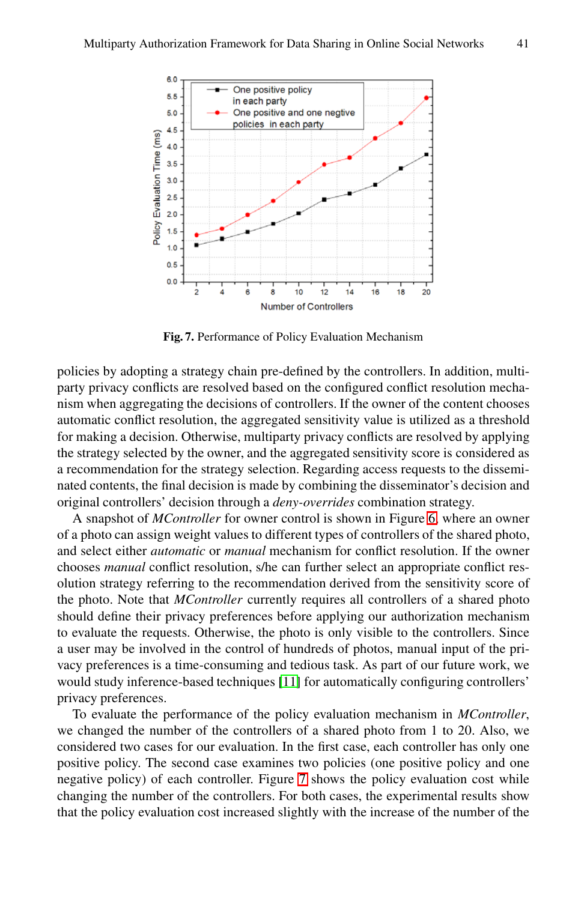

<span id="page-12-0"></span>**Fig. 7.** Performance of Policy Evaluation Mechanism

policies by adopting a strategy chain pre-defined by the controllers. In addition, multiparty privacy conflicts are resolved based on t[he](#page-11-0) configured conflict resolution mechanism when aggregating the decisions of controllers. If the owner of the content chooses automatic conflict resolution, the aggregated sensitivity value is utilized as a threshold for making a decision. Otherwise, multiparty privacy conflicts are resolved by applying the strategy selected by the owner, and the aggregated sensitivity score is considered as a recommendation for the strategy selection. Regarding access requests to the disseminated contents, the final decision is made by combining the disseminator's decision and original controllers' decision through a *deny-overrides* combination strategy.

A snapshot of *MController* for owner control is shown in Figure 6, where an owner of a photo can assign weight values to different types of controllers of the shared photo, and select either *aut[oma](#page-14-14)tic* or *manual* mechanism for conflict resolution. If the owner chooses *manual* conflict resolution, s/he can further select an appropriate conflict resolution strategy referring to the recommendation derived from the sensitivity score of the photo. Note that *MController* currently requires all controllers of a shared photo should define their privacy preferences before applying our authorization mechanism to evaluate the requests. Otherwise, the photo is only visible to the controllers. Since a user may be involve[d in](#page-12-0) the control of hundreds of photos, manual input of the privacy preferences is a time-consuming and tedious task. As part of our future work, we would study inference-based techniques [11] for automatically configuring controllers' privacy preferences.

To evaluate the performance of the policy evaluation mechanism in *MController*, we changed the number of the controllers of a shared photo from 1 to 20. Also, we considered two cases for our evaluation. In the first case, each controller has only one positive policy. The second case examines two policies (one positive policy and one negative policy) of each controller. Figure 7 shows the policy evaluation cost while changing the number of the controllers. For both cases, the experimental results show that the policy evaluation cost increased slightly with the increase of the number of the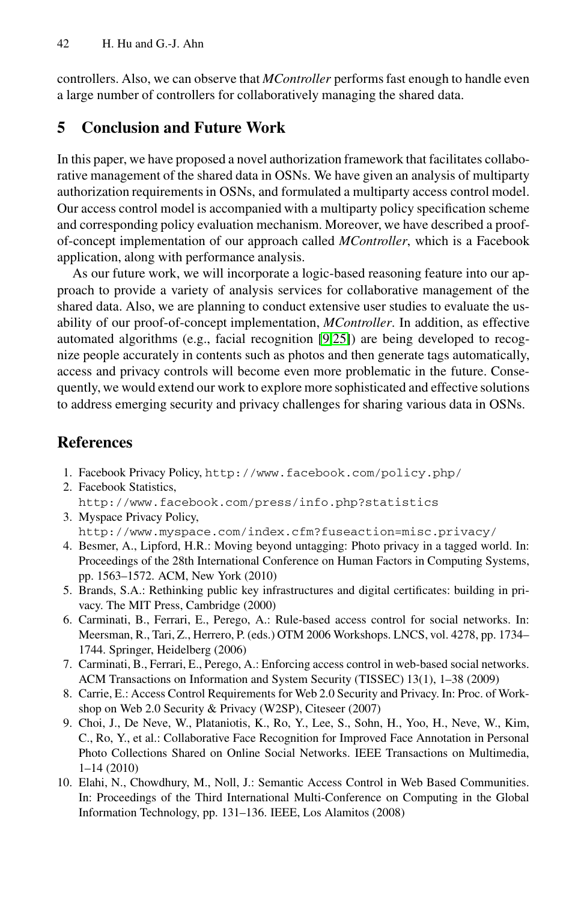<span id="page-13-4"></span>controllers. Also, we can observe that *MController* performs fast enough to handle even a large number of controllers for collaboratively managing the shared data.

# **5 Conclusion and Future Work**

In this paper, we have proposed a novel authorization framework that facilitates collaborative management of the shared data in OSNs. We have given an analysis of multiparty authorization requirements in OSNs, and formulated a multiparty access control model. Our access control model is [a](#page-13-8)[ccom](#page-14-15)panied with a multiparty policy specification scheme and corresponding policy evaluation mechanism. Moreover, we have described a proofof-concept implementation of our approach called *MController*, which is a Facebook application, along with performance analysis.

<span id="page-13-0"></span>As our future work, we will incorporate a logic-based reasoning feature into our approach to provide a variety of analysis services for collaborative management of the shared data. Also, we are planning to conduct extensive user studies to evaluate the usability of our proof-of-concept implementation, *MController*. In addition, as effective automated algorithms (e.g., facial recognition [9,25]) are being developed to recognize p[eople](http://www.facebook.com/policy.php/) [accurately](http://www.facebook.com/policy.php/) [in](http://www.facebook.com/policy.php/) [contents](http://www.facebook.com/policy.php/) [such](http://www.facebook.com/policy.php/) [as](http://www.facebook.com/policy.php/) [photos](http://www.facebook.com/policy.php/) [and](http://www.facebook.com/policy.php/) then generate tags automatically, [access and privacy controls will become even](http://www.facebook.com/press/info.php?statistics) more problematic in the future. Consequently, we would extend our work to explore more sophisticated and effective solutions [to address emerging security and privacy challenges for shari](http://www.myspace.com/index.cfm?fuseaction=misc.privacy/)ng various data in OSNs.

# <span id="page-13-7"></span><span id="page-13-5"></span><span id="page-13-1"></span>**References**

- 1. Facebook Privacy Policy, http://www.facebook.com/policy.php/
- <span id="page-13-2"></span>2. Facebook Statistics,
- http://www.facebook.com/press/info.php?statistics 3. Myspace Privacy Policy,
- http://www.myspace.com/index.cfm?fuseaction=misc.privacy/
- <span id="page-13-3"></span>4. Besmer, A., Lipford, H.R.: Moving beyond untagging: Photo privacy in a tagged world. In: Proceedings of the 28th International Conference on Human Factors in Computing Systems, pp. 1563–1572. ACM, New York (2010)
- <span id="page-13-8"></span>5. Brands, S.A.: Rethinking public key infrastructures and digital certificates: building in privacy. The MIT Press, Cambridge (2000)
- 6. Carminati, B., Ferrari, E., Perego, A.: Rule-based access control for social networks. In: Meersman, R., Tari, Z., Herrero, P. (eds.) OTM 2006 Workshops. LNCS, vol. 4278, pp. 1734– 1744. Springer, Heidelberg (2006)
- <span id="page-13-6"></span>7. Carminati, B., Ferrari, E., Perego, A.: Enforcing access control in web-based social networks. ACM Transactions on Information and System Security (TISSEC) 13(1), 1–38 (2009)
- 8. Carrie, E.: Access Control Requirements for Web 2.0 Security and Privacy. In: Proc. of Workshop on Web 2.0 Security & Privacy (W2SP), Citeseer (2007)
- 9. Choi, J., De Neve, W., Plataniotis, K., Ro, Y., Lee, S., Sohn, H., Yoo, H., Neve, W., Kim, C., Ro, Y., et al.: Collaborative Face Recognition for Improved Face Annotation in Personal Photo Collections Shared on Online Social Networks. IEEE Transactions on Multimedia, 1–14 (2010)
- 10. Elahi, N., Chowdhury, M., Noll, J.: Semantic Access Control in Web Based Communities. In: Proceedings of the Third International Multi-Conference on Computing in the Global Information Technology, pp. 131–136. IEEE, Los Alamitos (2008)